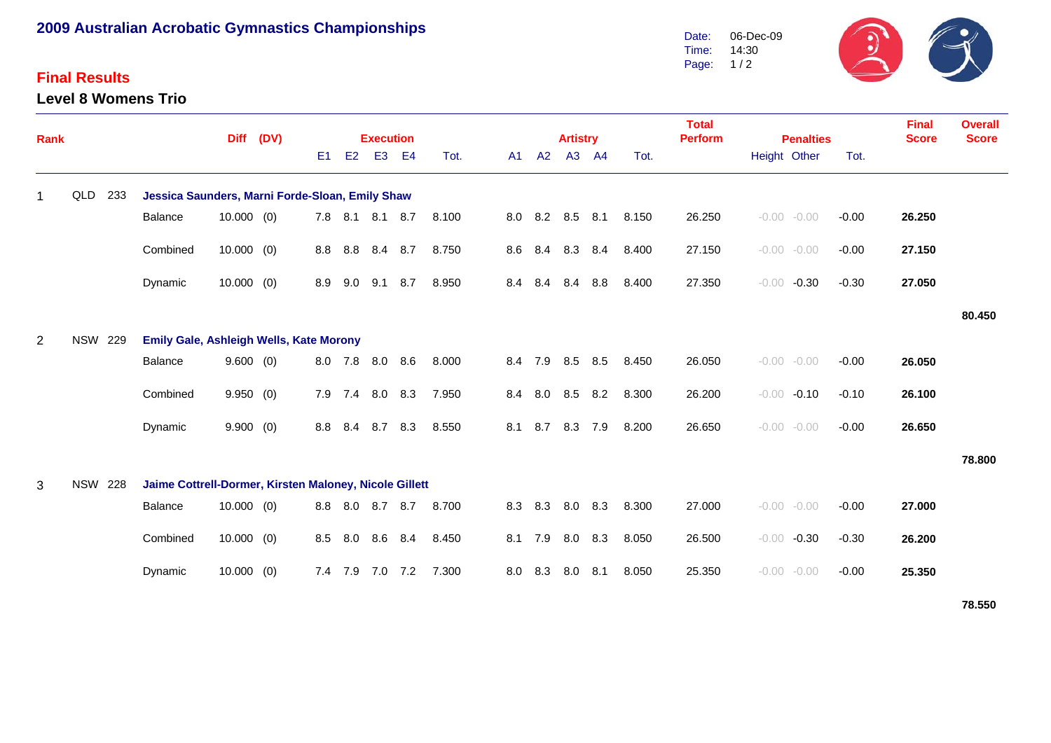## **2009 Australian Acrobatic Gymnastics Championships**

## **Final Results**

**Level 8 Womens Trio**



| Rank        |                                                                          |     |                                                 | <b>Diff</b>  | (DV) |     | <b>Execution</b> |                 |                |       |     |                 |         | <b>Artistry</b> |     |       | <b>Total</b><br><b>Perform</b> | <b>Penalties</b> |                |         | <b>Final</b><br><b>Score</b> | <b>Overall</b><br><b>Score</b> |
|-------------|--------------------------------------------------------------------------|-----|-------------------------------------------------|--------------|------|-----|------------------|-----------------|----------------|-------|-----|-----------------|---------|-----------------|-----|-------|--------------------------------|------------------|----------------|---------|------------------------------|--------------------------------|
|             |                                                                          |     |                                                 |              |      | E1  | E2               | E <sub>3</sub>  | E <sub>4</sub> | Tot.  | A1  | A2              |         | A3 A4           |     | Tot.  |                                | Height Other     |                | Tot.    |                              |                                |
| $\mathbf 1$ | QLD                                                                      | 233 | Jessica Saunders, Marni Forde-Sloan, Emily Shaw |              |      |     |                  |                 |                |       |     |                 |         |                 |     |       |                                |                  |                |         |                              |                                |
|             |                                                                          |     | Balance                                         | $10.000$ (0) |      |     |                  | 7.8 8.1 8.1 8.7 |                | 8.100 |     | 8.0 8.2 8.5 8.1 |         |                 |     | 8.150 | 26.250                         |                  | $-0.00 - 0.00$ | $-0.00$ | 26.250                       |                                |
|             |                                                                          |     | Combined                                        | $10.000$ (0) |      | 8.8 | 8.8              | 8.4 8.7         |                | 8.750 |     | 8.6 8.4 8.3     |         |                 | 8.4 | 8.400 | 27.150                         |                  | $-0.00 - 0.00$ | $-0.00$ | 27.150                       |                                |
|             |                                                                          |     | Dynamic                                         | 10.000(0)    |      | 8.9 | 9.0              | 9.1             | 8.7            | 8.950 | 8.4 |                 | 8.4 8.4 |                 | 8.8 | 8.400 | 27.350                         | $-0.00$          | $-0.30$        | $-0.30$ | 27.050                       |                                |
|             |                                                                          |     |                                                 |              |      |     |                  |                 |                |       |     |                 |         |                 |     |       |                                |                  |                |         |                              | 80.450                         |
| 2           | <b>NSW 229</b>                                                           |     | <b>Emily Gale, Ashleigh Wells, Kate Morony</b>  |              |      |     |                  |                 |                |       |     |                 |         |                 |     |       |                                |                  |                |         |                              |                                |
|             |                                                                          |     | Balance                                         | 9.600(0)     |      |     |                  | 8.0 7.8 8.0     | 8.6            | 8.000 |     | 8.4 7.9 8.5 8.5 |         |                 |     | 8.450 | 26.050                         |                  | $-0.00 - 0.00$ | $-0.00$ | 26.050                       |                                |
|             |                                                                          |     | Combined                                        | 9.950(0)     |      | 7.9 | 7.4              | 8.0 8.3         |                | 7.950 | 8.4 | 8.0             | 8.5     |                 | 8.2 | 8.300 | 26.200                         |                  | $-0.00 -0.10$  | $-0.10$ | 26.100                       |                                |
|             |                                                                          |     | Dynamic                                         | 9.900(0)     |      | 8.8 | 8.4              | 8.7 8.3         |                | 8.550 | 8.1 | 8.7             |         | 8.3 7.9         |     | 8.200 | 26.650                         |                  | $-0.00 - 0.00$ | $-0.00$ | 26.650                       |                                |
|             |                                                                          |     |                                                 |              |      |     |                  |                 |                |       |     |                 |         |                 |     |       |                                |                  |                |         |                              | 78.800                         |
| 3           | <b>NSW 228</b><br>Jaime Cottrell-Dormer, Kirsten Maloney, Nicole Gillett |     |                                                 |              |      |     |                  |                 |                |       |     |                 |         |                 |     |       |                                |                  |                |         |                              |                                |
|             |                                                                          |     | Balance                                         | $10.000$ (0) |      | 8.8 | 8.0              | 8.7             | 8.7            | 8.700 |     | 8.3 8.3         | 8.0     |                 | 8.3 | 8.300 | 27.000                         |                  | $-0.00 - 0.00$ | $-0.00$ | 27.000                       |                                |
|             |                                                                          |     | Combined                                        | 10.000(0)    |      | 8.5 | 8.0              | 8.6             | 8.4            | 8.450 | 8.1 | 7.9             | 8.0     |                 | 8.3 | 8.050 | 26.500                         | $-0.00$          | $-0.30$        | $-0.30$ | 26.200                       |                                |
|             |                                                                          |     | Dynamic                                         | $10.000$ (0) |      |     | 7.4 7.9          | 7.0 7.2         |                | 7.300 |     | 8.0 8.3         | 8.0     |                 | 8.1 | 8.050 | 25.350                         |                  | $-0.00 - 0.00$ | $-0.00$ | 25.350                       |                                |